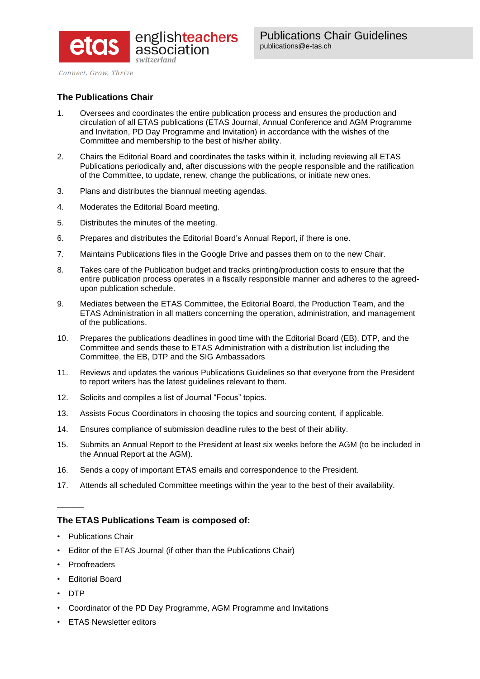

Connect, Grow, Thrive

# **The Publications Chair**

- 1. Oversees and coordinates the entire publication process and ensures the production and circulation of all ETAS publications (ETAS Journal, Annual Conference and AGM Programme and Invitation, PD Day Programme and Invitation) in accordance with the wishes of the Committee and membership to the best of his/her ability.
- 2. Chairs the Editorial Board and coordinates the tasks within it, including reviewing all ETAS Publications periodically and, after discussions with the people responsible and the ratification of the Committee, to update, renew, change the publications, or initiate new ones.
- 3. Plans and distributes the biannual meeting agendas.
- 4. Moderates the Editorial Board meeting.
- 5. Distributes the minutes of the meeting.
- 6. Prepares and distributes the Editorial Board's Annual Report, if there is one.
- 7. Maintains Publications files in the Google Drive and passes them on to the new Chair.
- 8. Takes care of the Publication budget and tracks printing/production costs to ensure that the entire publication process operates in a fiscally responsible manner and adheres to the agreedupon publication schedule.
- 9. Mediates between the ETAS Committee, the Editorial Board, the Production Team, and the ETAS Administration in all matters concerning the operation, administration, and management of the publications.
- 10. Prepares the publications deadlines in good time with the Editorial Board (EB), DTP, and the Committee and sends these to ETAS Administration with a distribution list including the Committee, the EB, DTP and the SIG Ambassadors
- 11. Reviews and updates the various Publications Guidelines so that everyone from the President to report writers has the latest guidelines relevant to them.
- 12. Solicits and compiles a list of Journal "Focus" topics.
- 13. Assists Focus Coordinators in choosing the topics and sourcing content, if applicable.
- 14. Ensures compliance of submission deadline rules to the best of their ability.
- 15. Submits an Annual Report to the President at least six weeks before the AGM (to be included in the Annual Report at the AGM).
- 16. Sends a copy of important ETAS emails and correspondence to the President.
- 17. Attends all scheduled Committee meetings within the year to the best of their availability.

## **The ETAS Publications Team is composed of:**

- Publications Chair
- Editor of the ETAS Journal (if other than the Publications Chair)
- **Proofreaders**
- Editorial Board
- DTP

 $\overline{\phantom{a}}$ 

- Coordinator of the PD Day Programme, AGM Programme and Invitations
- **ETAS Newsletter editors**